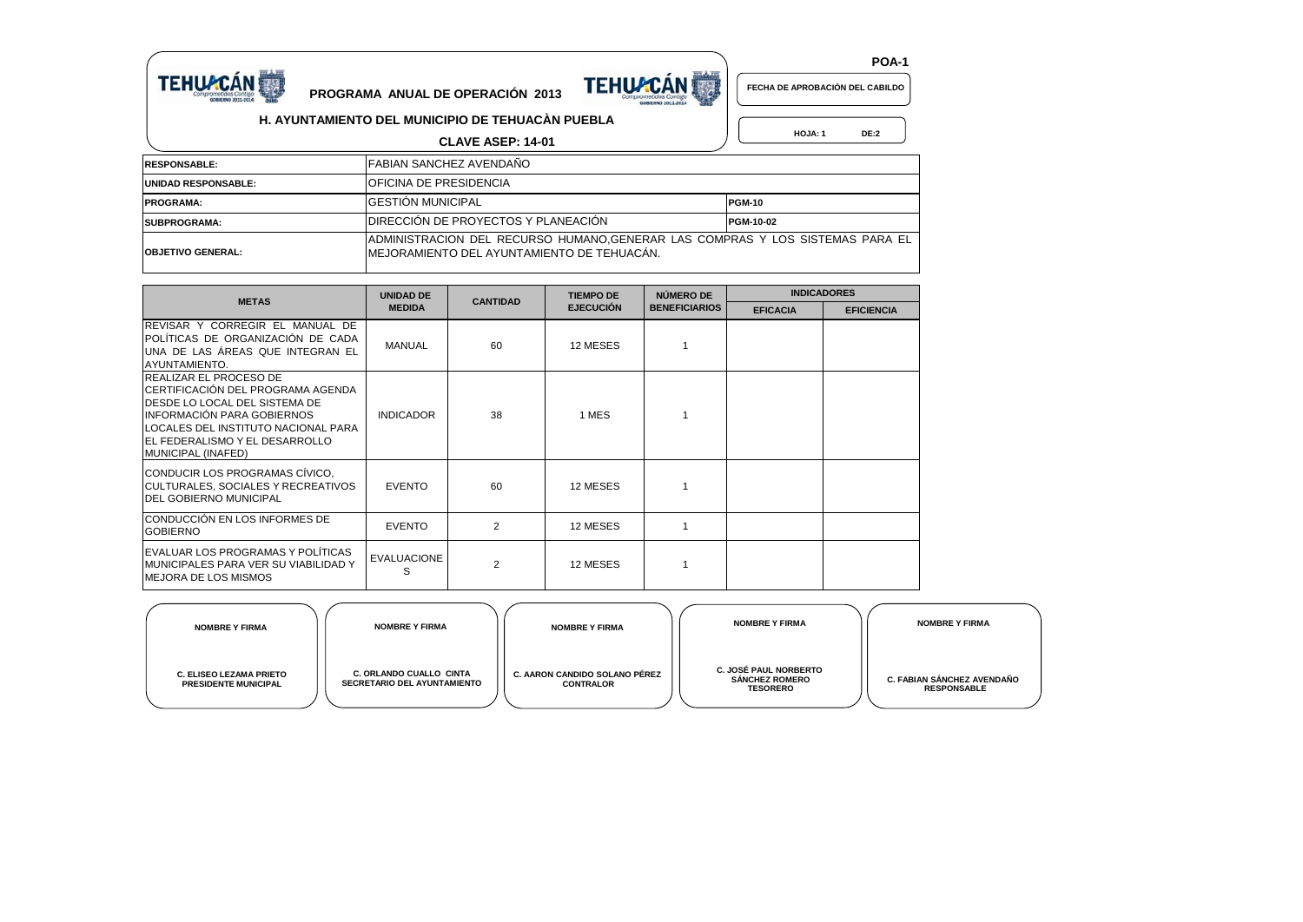



 **HOJA: 1 DE:2**

 **POA-1**

**H. AYUNTAMIENTO DEL MUNICIPIO DE TEHUACÀN PUEBLA**

|                            | <b>CLAVE ASEP: 14-01</b>                                                                                                      | <b>HOJA: 1</b><br>DE:2 |
|----------------------------|-------------------------------------------------------------------------------------------------------------------------------|------------------------|
| <b>RESPONSABLE:</b>        | FABIAN SANCHEZ AVENDAÑO                                                                                                       |                        |
| <b>UNIDAD RESPONSABLE:</b> | <b>OFICINA DE PRESIDENCIA</b>                                                                                                 |                        |
| <b>PROGRAMA:</b>           | <b>IGESTION MUNICIPAL</b>                                                                                                     | <b>PGM-10</b>          |
| <b>SUBPROGRAMA:</b>        | <b>IDIRECCIÓN DE PROYECTOS Y PLANEACION</b>                                                                                   | PGM-10-02              |
| <b>OBJETIVO GENERAL:</b>   | JADMINISTRACION DEL RECURSO HUMANO, GENERAR LAS COMPRAS Y LOS SISTEMAS PARA EL<br>IMEJORAMIENTO DEL AYUNTAMIENTO DE TEHUACÁN. |                        |

|                                                                                                                                                                                                                                                          | <b>UNIDAD DE</b>        | <b>CANTIDAD</b> | <b>TIEMPO DE</b> | NÚMERO DE            | <b>INDICADORES</b> |                   |  |  |
|----------------------------------------------------------------------------------------------------------------------------------------------------------------------------------------------------------------------------------------------------------|-------------------------|-----------------|------------------|----------------------|--------------------|-------------------|--|--|
| <b>METAS</b>                                                                                                                                                                                                                                             | <b>MEDIDA</b>           |                 | <b>EJECUCIÓN</b> | <b>BENEFICIARIOS</b> | <b>EFICACIA</b>    | <b>EFICIENCIA</b> |  |  |
| REVISAR Y CORREGIR EL MANUAL DE<br>POLÍTICAS DE ORGANIZACIÓN DE CADA<br>UNA DE LAS ÁREAS QUE INTEGRAN EL<br>AYUNTAMIENTO.                                                                                                                                | <b>MANUAL</b>           | 60              | 12 MESES         |                      |                    |                   |  |  |
| <b>REALIZAR EL PROCESO DE</b><br>ICERTIFICACIÓN DEL PROGRAMA AGENDA<br><b>IDESDE LO LOCAL DEL SISTEMA DE</b><br><b>INFORMACIÓN PARA GOBIERNOS</b><br>LOCALES DEL INSTITUTO NACIONAL PARA<br><b>IEL FEDERALISMO Y EL DESARROLLO</b><br>MUNICIPAL (INAFED) | <b>INDICADOR</b>        | 38              | 1 MES            |                      |                    |                   |  |  |
| CONDUCIR LOS PROGRAMAS CÍVICO.<br>CULTURALES, SOCIALES Y RECREATIVOS<br><b>IDEL GOBIERNO MUNICIPAL</b>                                                                                                                                                   | <b>EVENTO</b>           | 60              | 12 MESES         |                      |                    |                   |  |  |
| CONDUCCIÓN EN LOS INFORMES DE<br><b>GOBIERNO</b>                                                                                                                                                                                                         | <b>EVENTO</b>           | $\overline{2}$  | 12 MESES         |                      |                    |                   |  |  |
| EVALUAR LOS PROGRAMAS Y POLÍTICAS<br><b>MUNICIPALES PARA VER SU VIABILIDAD Y</b><br>MEJORA DE LOS MISMOS                                                                                                                                                 | <b>EVALUACIONE</b><br>S | 2               | 12 MESES         |                      |                    |                   |  |  |

| <b>NOMBRE Y FIRMA</b>                                         | <b>NOMBRE Y FIRMA</b>                                                | <b>NOMBRE Y FIRMA</b>                             | <b>NOMBRE Y FIRMA</b>                                                    | <b>NOMBRE Y FIRMA</b>                            |
|---------------------------------------------------------------|----------------------------------------------------------------------|---------------------------------------------------|--------------------------------------------------------------------------|--------------------------------------------------|
| <b>C. ELISEO LEZAMA PRIETO</b><br><b>PRESIDENTE MUNICIPAL</b> | <b>C. ORLANDO CUALLO CINTA</b><br><b>SECRETARIO DEL AYUNTAMIENTO</b> | C. AARON CANDIDO SOLANO PÉREZ<br><b>CONTRALOR</b> | <b>C. JOSÉ PAUL NORBERTO</b><br><b>SÁNCHEZ ROMERO</b><br><b>TESORERO</b> | C. FABIAN SÁNCHEZ AVENDAÑO<br><b>RESPONSABLE</b> |